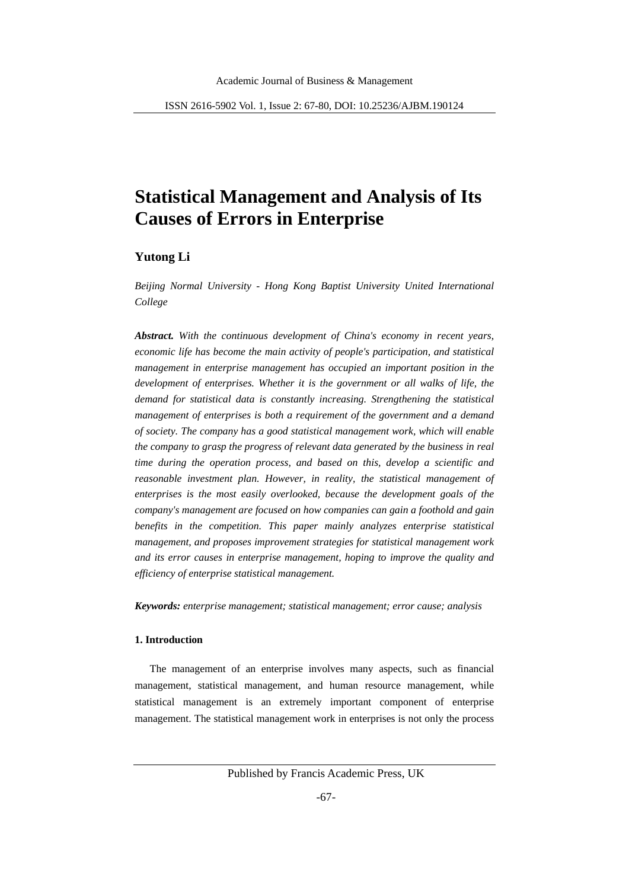# **Statistical Management and Analysis of Its Causes of Errors in Enterprise**

# **Yutong Li**

*Beijing Normal University - Hong Kong Baptist University United International College*

*Abstract. With the continuous development of China's economy in recent years, economic life has become the main activity of people's participation, and statistical management in enterprise management has occupied an important position in the development of enterprises. Whether it is the government or all walks of life, the demand for statistical data is constantly increasing. Strengthening the statistical management of enterprises is both a requirement of the government and a demand of society. The company has a good statistical management work, which will enable the company to grasp the progress of relevant data generated by the business in real time during the operation process, and based on this, develop a scientific and reasonable investment plan. However, in reality, the statistical management of enterprises is the most easily overlooked, because the development goals of the company's management are focused on how companies can gain a foothold and gain benefits in the competition. This paper mainly analyzes enterprise statistical management, and proposes improvement strategies for statistical management work and its error causes in enterprise management, hoping to improve the quality and efficiency of enterprise statistical management.*

*Keywords: enterprise management; statistical management; error cause; analysis*

# **1. Introduction**

The management of an enterprise involves many aspects, such as financial management, statistical management, and human resource management, while statistical management is an extremely important component of enterprise management. The statistical management work in enterprises is not only the process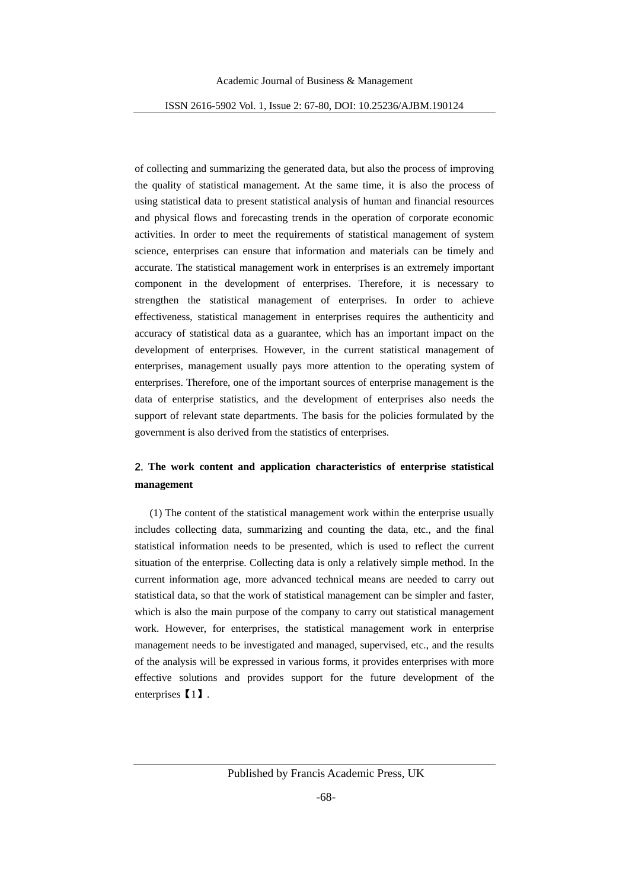of collecting and summarizing the generated data, but also the process of improving the quality of statistical management. At the same time, it is also the process of using statistical data to present statistical analysis of human and financial resources and physical flows and forecasting trends in the operation of corporate economic activities. In order to meet the requirements of statistical management of system science, enterprises can ensure that information and materials can be timely and accurate. The statistical management work in enterprises is an extremely important component in the development of enterprises. Therefore, it is necessary to strengthen the statistical management of enterprises. In order to achieve effectiveness, statistical management in enterprises requires the authenticity and accuracy of statistical data as a guarantee, which has an important impact on the development of enterprises. However, in the current statistical management of enterprises, management usually pays more attention to the operating system of enterprises. Therefore, one of the important sources of enterprise management is the data of enterprise statistics, and the development of enterprises also needs the support of relevant state departments. The basis for the policies formulated by the government is also derived from the statistics of enterprises.

# **2. The work content and application characteristics of enterprise statistical management**

(1) The content of the statistical management work within the enterprise usually includes collecting data, summarizing and counting the data, etc., and the final statistical information needs to be presented, which is used to reflect the current situation of the enterprise. Collecting data is only a relatively simple method. In the current information age, more advanced technical means are needed to carry out statistical data, so that the work of statistical management can be simpler and faster, which is also the main purpose of the company to carry out statistical management work. However, for enterprises, the statistical management work in enterprise management needs to be investigated and managed, supervised, etc., and the results of the analysis will be expressed in various forms, it provides enterprises with more effective solutions and provides support for the future development of the enterprises【1】.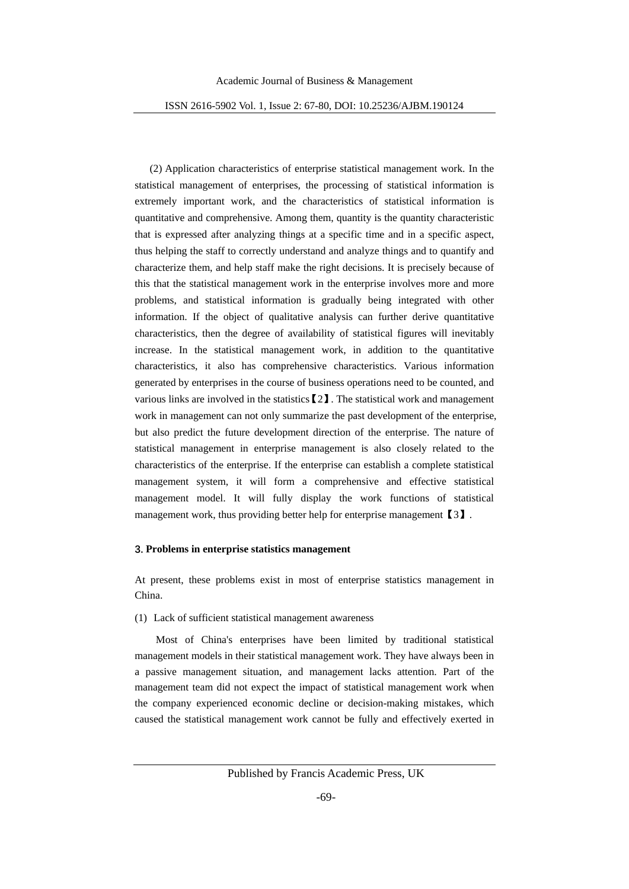(2) Application characteristics of enterprise statistical management work. In the statistical management of enterprises, the processing of statistical information is extremely important work, and the characteristics of statistical information is quantitative and comprehensive. Among them, quantity is the quantity characteristic that is expressed after analyzing things at a specific time and in a specific aspect, thus helping the staff to correctly understand and analyze things and to quantify and characterize them, and help staff make the right decisions. It is precisely because of this that the statistical management work in the enterprise involves more and more problems, and statistical information is gradually being integrated with other information. If the object of qualitative analysis can further derive quantitative characteristics, then the degree of availability of statistical figures will inevitably increase. In the statistical management work, in addition to the quantitative characteristics, it also has comprehensive characteristics. Various information generated by enterprises in the course of business operations need to be counted, and various links are involved in the statistics  $[2]$ . The statistical work and management work in management can not only summarize the past development of the enterprise, but also predict the future development direction of the enterprise. The nature of statistical management in enterprise management is also closely related to the characteristics of the enterprise. If the enterprise can establish a complete statistical management system, it will form a comprehensive and effective statistical management model. It will fully display the work functions of statistical management work, thus providing better help for enterprise management [3].

#### **3. Problems in enterprise statistics management**

At present, these problems exist in most of enterprise statistics management in China.

(1) Lack of sufficient statistical management awareness

Most of China's enterprises have been limited by traditional statistical management models in their statistical management work. They have always been in a passive management situation, and management lacks attention. Part of the management team did not expect the impact of statistical management work when the company experienced economic decline or decision-making mistakes, which caused the statistical management work cannot be fully and effectively exerted in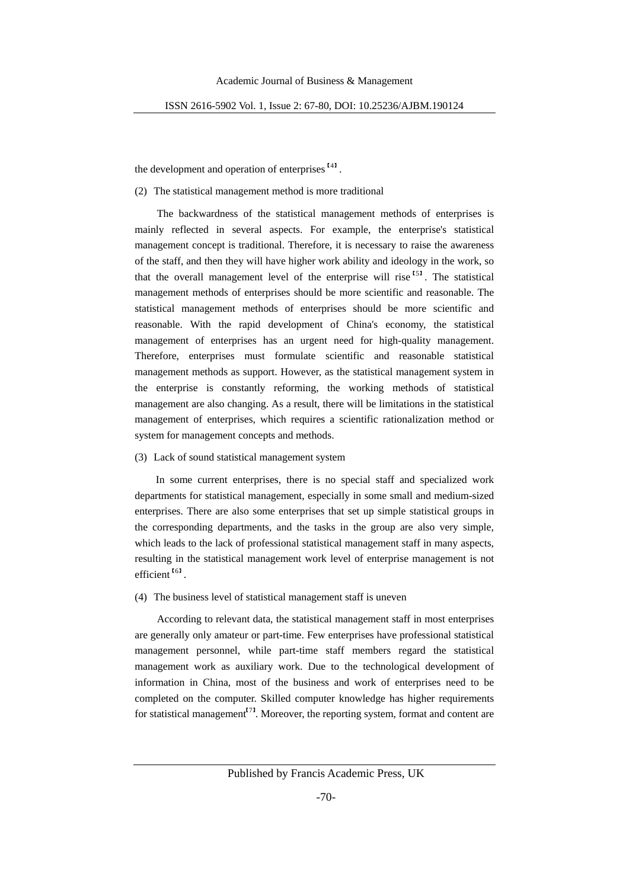the development and operation of enterprises<sup>141</sup>.

(2) The statistical management method is more traditional

The backwardness of the statistical management methods of enterprises is mainly reflected in several aspects. For example, the enterprise's statistical management concept is traditional. Therefore, it is necessary to raise the awareness of the staff, and then they will have higher work ability and ideology in the work, so that the overall management level of the enterprise will rise<sup> $51$ </sup>. The statistical management methods of enterprises should be more scientific and reasonable. The statistical management methods of enterprises should be more scientific and reasonable. With the rapid development of China's economy, the statistical management of enterprises has an urgent need for high-quality management. Therefore, enterprises must formulate scientific and reasonable statistical management methods as support. However, as the statistical management system in the enterprise is constantly reforming, the working methods of statistical management are also changing. As a result, there will be limitations in the statistical management of enterprises, which requires a scientific rationalization method or system for management concepts and methods.

#### (3) Lack of sound statistical management system

In some current enterprises, there is no special staff and specialized work departments for statistical management, especially in some small and medium-sized enterprises. There are also some enterprises that set up simple statistical groups in the corresponding departments, and the tasks in the group are also very simple, which leads to the lack of professional statistical management staff in many aspects, resulting in the statistical management work level of enterprise management is not efficient<sup>[6]</sup>.

#### (4) The business level of statistical management staff is uneven

According to relevant data, the statistical management staff in most enterprises are generally only amateur or part-time. Few enterprises have professional statistical management personnel, while part-time staff members regard the statistical management work as auxiliary work. Due to the technological development of information in China, most of the business and work of enterprises need to be completed on the computer. Skilled computer knowledge has higher requirements for statistical management<sup>[71</sup>. Moreover, the reporting system, format and content are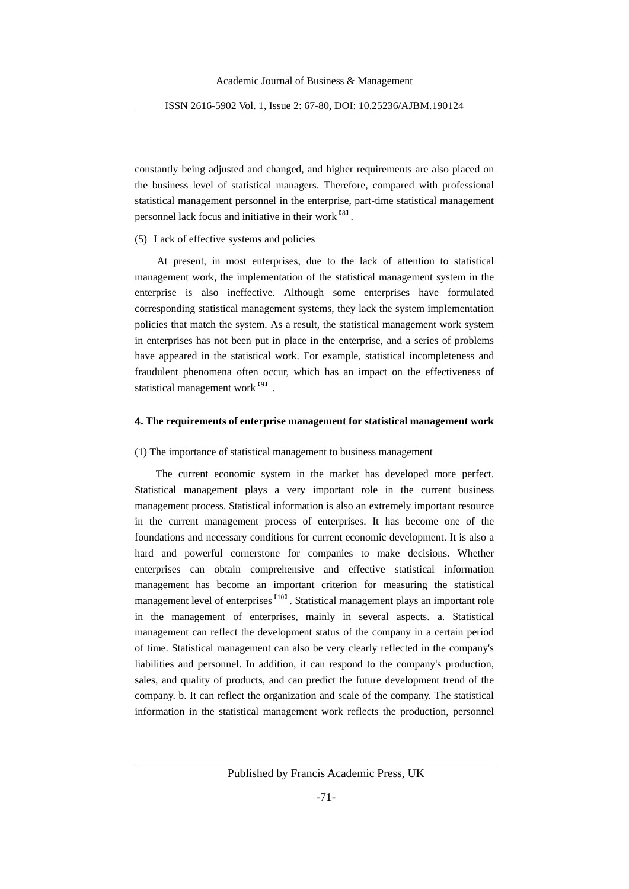constantly being adjusted and changed, and higher requirements are also placed on the business level of statistical managers. Therefore, compared with professional statistical management personnel in the enterprise, part-time statistical management personnel lack focus and initiative in their work<sup>[8]</sup>.

# (5) Lack of effective systems and policies

At present, in most enterprises, due to the lack of attention to statistical management work, the implementation of the statistical management system in the enterprise is also ineffective. Although some enterprises have formulated corresponding statistical management systems, they lack the system implementation policies that match the system. As a result, the statistical management work system in enterprises has not been put in place in the enterprise, and a series of problems have appeared in the statistical work. For example, statistical incompleteness and fraudulent phenomena often occur, which has an impact on the effectiveness of statistical management work<sup>191</sup>.

## **4. The requirements of enterprise management for statistical management work**

#### (1) The importance of statistical management to business management

The current economic system in the market has developed more perfect. Statistical management plays a very important role in the current business management process. Statistical information is also an extremely important resource in the current management process of enterprises. It has become one of the foundations and necessary conditions for current economic development. It is also a hard and powerful cornerstone for companies to make decisions. Whether enterprises can obtain comprehensive and effective statistical information management has become an important criterion for measuring the statistical management level of enterprises  $I_{101}$ . Statistical management plays an important role in the management of enterprises, mainly in several aspects. a. Statistical management can reflect the development status of the company in a certain period of time. Statistical management can also be very clearly reflected in the company's liabilities and personnel. In addition, it can respond to the company's production, sales, and quality of products, and can predict the future development trend of the company. b. It can reflect the organization and scale of the company. The statistical information in the statistical management work reflects the production, personnel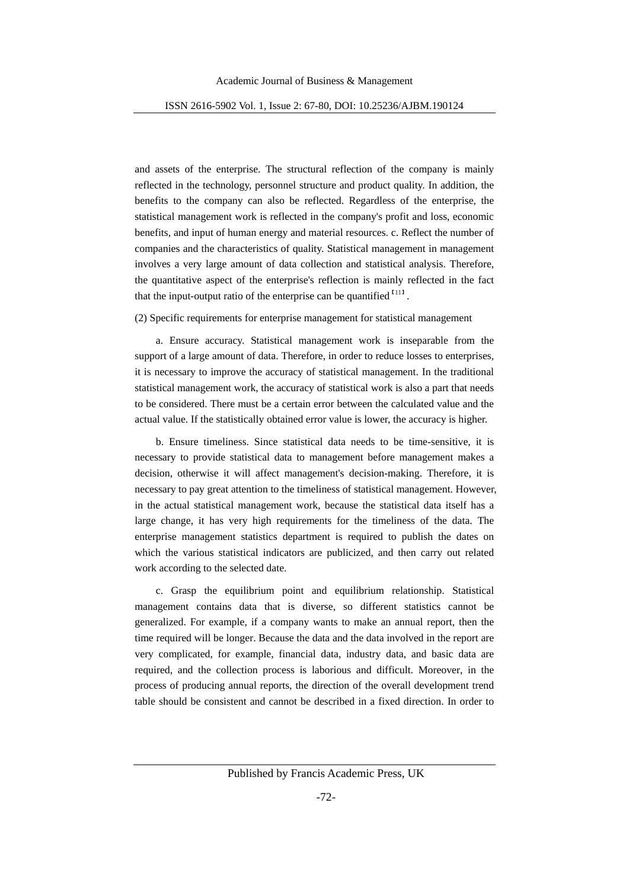and assets of the enterprise. The structural reflection of the company is mainly reflected in the technology, personnel structure and product quality. In addition, the benefits to the company can also be reflected. Regardless of the enterprise, the statistical management work is reflected in the company's profit and loss, economic benefits, and input of human energy and material resources. c. Reflect the number of companies and the characteristics of quality. Statistical management in management involves a very large amount of data collection and statistical analysis. Therefore, the quantitative aspect of the enterprise's reflection is mainly reflected in the fact that the input-output ratio of the enterprise can be quantified  $\binom{111}{11}$ .

# (2) Specific requirements for enterprise management for statistical management

a. Ensure accuracy. Statistical management work is inseparable from the support of a large amount of data. Therefore, in order to reduce losses to enterprises, it is necessary to improve the accuracy of statistical management. In the traditional statistical management work, the accuracy of statistical work is also a part that needs to be considered. There must be a certain error between the calculated value and the actual value. If the statistically obtained error value is lower, the accuracy is higher.

b. Ensure timeliness. Since statistical data needs to be time-sensitive, it is necessary to provide statistical data to management before management makes a decision, otherwise it will affect management's decision-making. Therefore, it is necessary to pay great attention to the timeliness of statistical management. However, in the actual statistical management work, because the statistical data itself has a large change, it has very high requirements for the timeliness of the data. The enterprise management statistics department is required to publish the dates on which the various statistical indicators are publicized, and then carry out related work according to the selected date.

c. Grasp the equilibrium point and equilibrium relationship. Statistical management contains data that is diverse, so different statistics cannot be generalized. For example, if a company wants to make an annual report, then the time required will be longer. Because the data and the data involved in the report are very complicated, for example, financial data, industry data, and basic data are required, and the collection process is laborious and difficult. Moreover, in the process of producing annual reports, the direction of the overall development trend table should be consistent and cannot be described in a fixed direction. In order to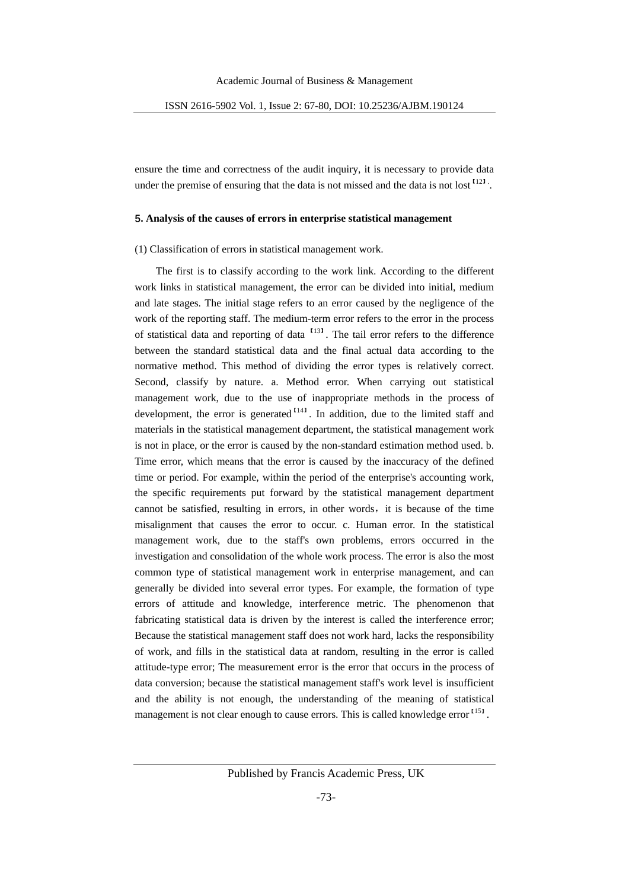ensure the time and correctness of the audit inquiry, it is necessary to provide data under the premise of ensuring that the data is not missed and the data is not lost  $^{122}$ .

#### **5. Analysis of the causes of errors in enterprise statistical management**

(1) Classification of errors in statistical management work.

The first is to classify according to the work link. According to the different work links in statistical management, the error can be divided into initial, medium and late stages. The initial stage refers to an error caused by the negligence of the work of the reporting staff. The medium-term error refers to the error in the process of statistical data and reporting of data <sup>1131</sup>. The tail error refers to the difference between the standard statistical data and the final actual data according to the normative method. This method of dividing the error types is relatively correct. Second, classify by nature. a. Method error. When carrying out statistical management work, due to the use of inappropriate methods in the process of development, the error is generated  $<sup>1141</sup>$ . In addition, due to the limited staff and</sup> materials in the statistical management department, the statistical management work is not in place, or the error is caused by the non-standard estimation method used. b. Time error, which means that the error is caused by the inaccuracy of the defined time or period. For example, within the period of the enterprise's accounting work, the specific requirements put forward by the statistical management department cannot be satisfied, resulting in errors, in other words, it is because of the time misalignment that causes the error to occur. c. Human error. In the statistical management work, due to the staff's own problems, errors occurred in the investigation and consolidation of the whole work process. The error is also the most common type of statistical management work in enterprise management, and can generally be divided into several error types. For example, the formation of type errors of attitude and knowledge, interference metric. The phenomenon that fabricating statistical data is driven by the interest is called the interference error; Because the statistical management staff does not work hard, lacks the responsibility of work, and fills in the statistical data at random, resulting in the error is called attitude-type error; The measurement error is the error that occurs in the process of data conversion; because the statistical management staff's work level is insufficient and the ability is not enough, the understanding of the meaning of statistical management is not clear enough to cause errors. This is called knowledge error <sup>[15]</sup>.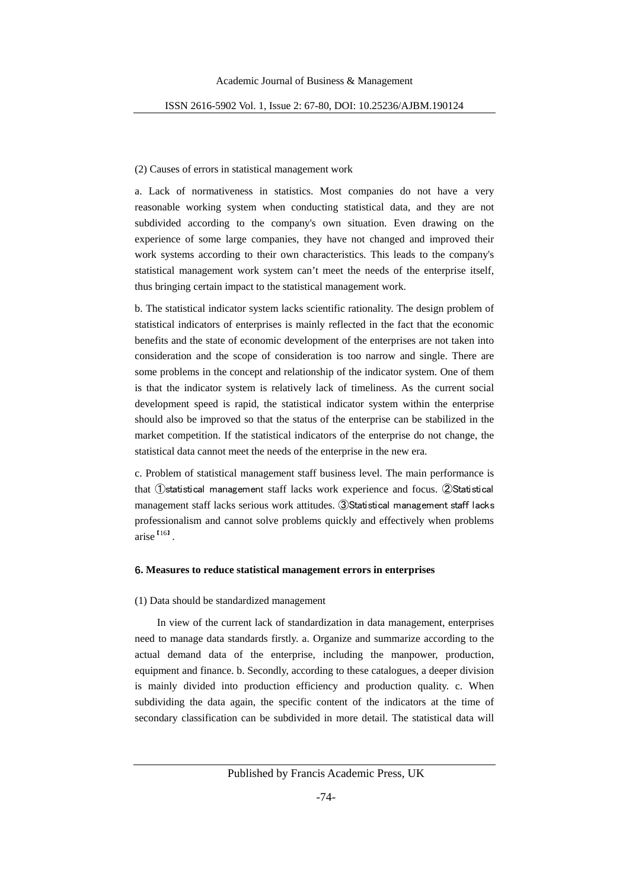#### (2) Causes of errors in statistical management work

a. Lack of normativeness in statistics. Most companies do not have a very reasonable working system when conducting statistical data, and they are not subdivided according to the company's own situation. Even drawing on the experience of some large companies, they have not changed and improved their work systems according to their own characteristics. This leads to the company's statistical management work system can't meet the needs of the enterprise itself, thus bringing certain impact to the statistical management work.

b. The statistical indicator system lacks scientific rationality. The design problem of statistical indicators of enterprises is mainly reflected in the fact that the economic benefits and the state of economic development of the enterprises are not taken into consideration and the scope of consideration is too narrow and single. There are some problems in the concept and relationship of the indicator system. One of them is that the indicator system is relatively lack of timeliness. As the current social development speed is rapid, the statistical indicator system within the enterprise should also be improved so that the status of the enterprise can be stabilized in the market competition. If the statistical indicators of the enterprise do not change, the statistical data cannot meet the needs of the enterprise in the new era.

c. Problem of statistical management staff business level. The main performance is that ①statistical management staff lacks work experience and focus. ②Statistical management staff lacks serious work attitudes. ③Statistical management staff lacks professionalism and cannot solve problems quickly and effectively when problems arise<sup>I161</sup>.

#### **6. Measures to reduce statistical management errors in enterprises**

#### (1) Data should be standardized management

In view of the current lack of standardization in data management, enterprises need to manage data standards firstly. a. Organize and summarize according to the actual demand data of the enterprise, including the manpower, production, equipment and finance. b. Secondly, according to these catalogues, a deeper division is mainly divided into production efficiency and production quality. c. When subdividing the data again, the specific content of the indicators at the time of secondary classification can be subdivided in more detail. The statistical data will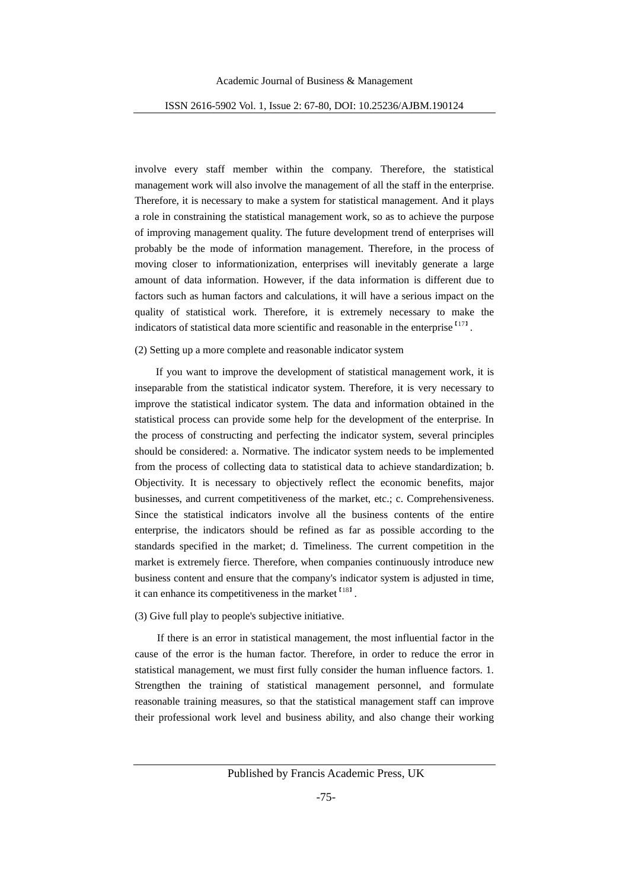involve every staff member within the company. Therefore, the statistical management work will also involve the management of all the staff in the enterprise. Therefore, it is necessary to make a system for statistical management. And it plays a role in constraining the statistical management work, so as to achieve the purpose of improving management quality. The future development trend of enterprises will probably be the mode of information management. Therefore, in the process of moving closer to informationization, enterprises will inevitably generate a large amount of data information. However, if the data information is different due to factors such as human factors and calculations, it will have a serious impact on the quality of statistical work. Therefore, it is extremely necessary to make the indicators of statistical data more scientific and reasonable in the enterprise  $171$ .

#### (2) Setting up a more complete and reasonable indicator system

If you want to improve the development of statistical management work, it is inseparable from the statistical indicator system. Therefore, it is very necessary to improve the statistical indicator system. The data and information obtained in the statistical process can provide some help for the development of the enterprise. In the process of constructing and perfecting the indicator system, several principles should be considered: a. Normative. The indicator system needs to be implemented from the process of collecting data to statistical data to achieve standardization; b. Objectivity. It is necessary to objectively reflect the economic benefits, major businesses, and current competitiveness of the market, etc.; c. Comprehensiveness. Since the statistical indicators involve all the business contents of the entire enterprise, the indicators should be refined as far as possible according to the standards specified in the market; d. Timeliness. The current competition in the market is extremely fierce. Therefore, when companies continuously introduce new business content and ensure that the company's indicator system is adjusted in time, it can enhance its competitiveness in the market <sup>[18]</sup>.

(3) Give full play to people's subjective initiative.

If there is an error in statistical management, the most influential factor in the cause of the error is the human factor. Therefore, in order to reduce the error in statistical management, we must first fully consider the human influence factors. 1. Strengthen the training of statistical management personnel, and formulate reasonable training measures, so that the statistical management staff can improve their professional work level and business ability, and also change their working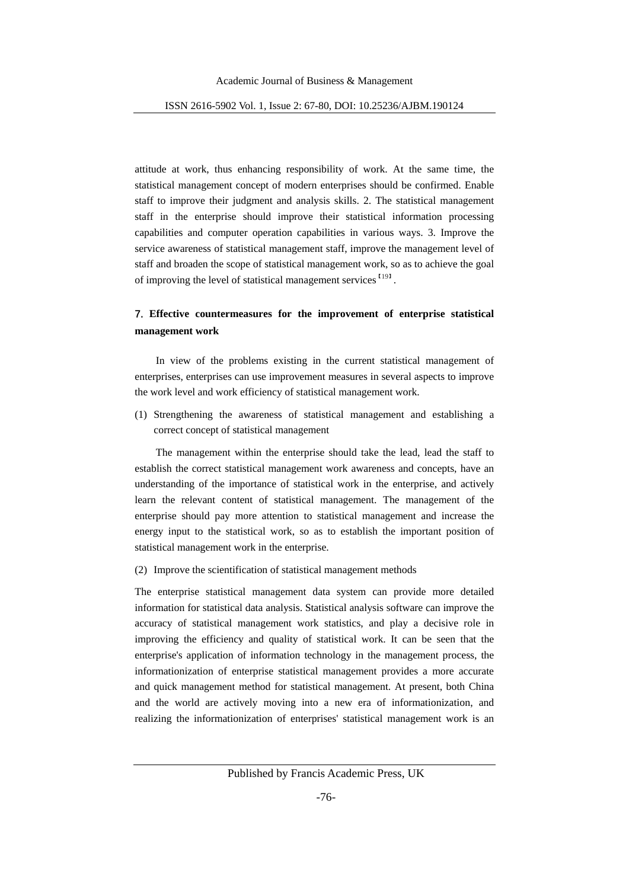attitude at work, thus enhancing responsibility of work. At the same time, the statistical management concept of modern enterprises should be confirmed. Enable staff to improve their judgment and analysis skills. 2. The statistical management staff in the enterprise should improve their statistical information processing capabilities and computer operation capabilities in various ways. 3. Improve the service awareness of statistical management staff, improve the management level of staff and broaden the scope of statistical management work, so as to achieve the goal of improving the level of statistical management services<sup>[19]</sup>.

# **7. Effective countermeasures for the improvement of enterprise statistical management work**

In view of the problems existing in the current statistical management of enterprises, enterprises can use improvement measures in several aspects to improve the work level and work efficiency of statistical management work.

(1) Strengthening the awareness of statistical management and establishing a correct concept of statistical management

The management within the enterprise should take the lead, lead the staff to establish the correct statistical management work awareness and concepts, have an understanding of the importance of statistical work in the enterprise, and actively learn the relevant content of statistical management. The management of the enterprise should pay more attention to statistical management and increase the energy input to the statistical work, so as to establish the important position of statistical management work in the enterprise.

(2) Improve the scientification of statistical management methods

The enterprise statistical management data system can provide more detailed information for statistical data analysis. Statistical analysis software can improve the accuracy of statistical management work statistics, and play a decisive role in improving the efficiency and quality of statistical work. It can be seen that the enterprise's application of information technology in the management process, the informationization of enterprise statistical management provides a more accurate and quick management method for statistical management. At present, both China and the world are actively moving into a new era of informationization, and realizing the informationization of enterprises' statistical management work is an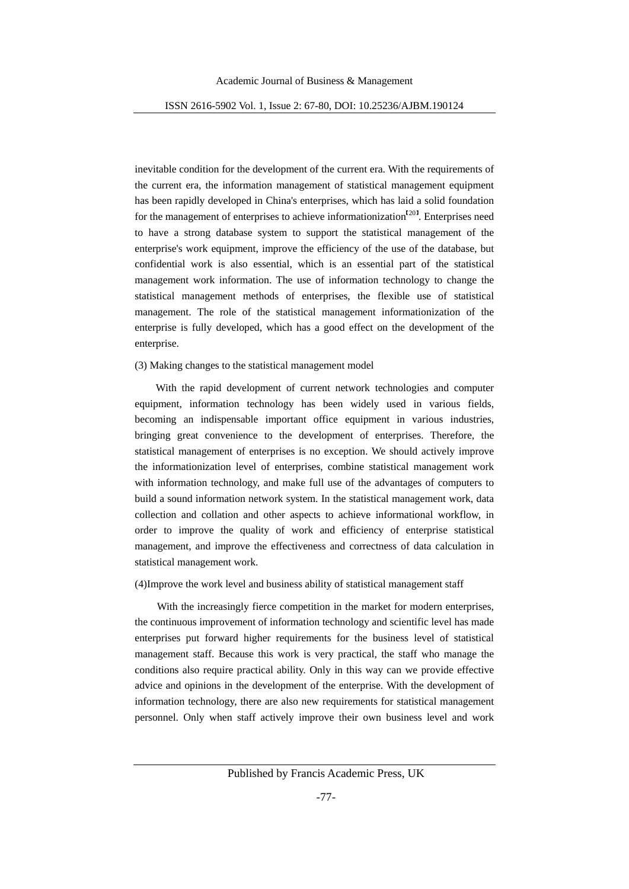inevitable condition for the development of the current era. With the requirements of the current era, the information management of statistical management equipment has been rapidly developed in China's enterprises, which has laid a solid foundation for the management of enterprises to achieve informationization<sup>[20]</sup>. Enterprises need to have a strong database system to support the statistical management of the enterprise's work equipment, improve the efficiency of the use of the database, but confidential work is also essential, which is an essential part of the statistical management work information. The use of information technology to change the statistical management methods of enterprises, the flexible use of statistical management. The role of the statistical management informationization of the enterprise is fully developed, which has a good effect on the development of the enterprise.

## (3) Making changes to the statistical management model

With the rapid development of current network technologies and computer equipment, information technology has been widely used in various fields, becoming an indispensable important office equipment in various industries, bringing great convenience to the development of enterprises. Therefore, the statistical management of enterprises is no exception. We should actively improve the informationization level of enterprises, combine statistical management work with information technology, and make full use of the advantages of computers to build a sound information network system. In the statistical management work, data collection and collation and other aspects to achieve informational workflow, in order to improve the quality of work and efficiency of enterprise statistical management, and improve the effectiveness and correctness of data calculation in statistical management work.

#### (4)Improve the work level and business ability of statistical management staff

With the increasingly fierce competition in the market for modern enterprises, the continuous improvement of information technology and scientific level has made enterprises put forward higher requirements for the business level of statistical management staff. Because this work is very practical, the staff who manage the conditions also require practical ability. Only in this way can we provide effective advice and opinions in the development of the enterprise. With the development of information technology, there are also new requirements for statistical management personnel. Only when staff actively improve their own business level and work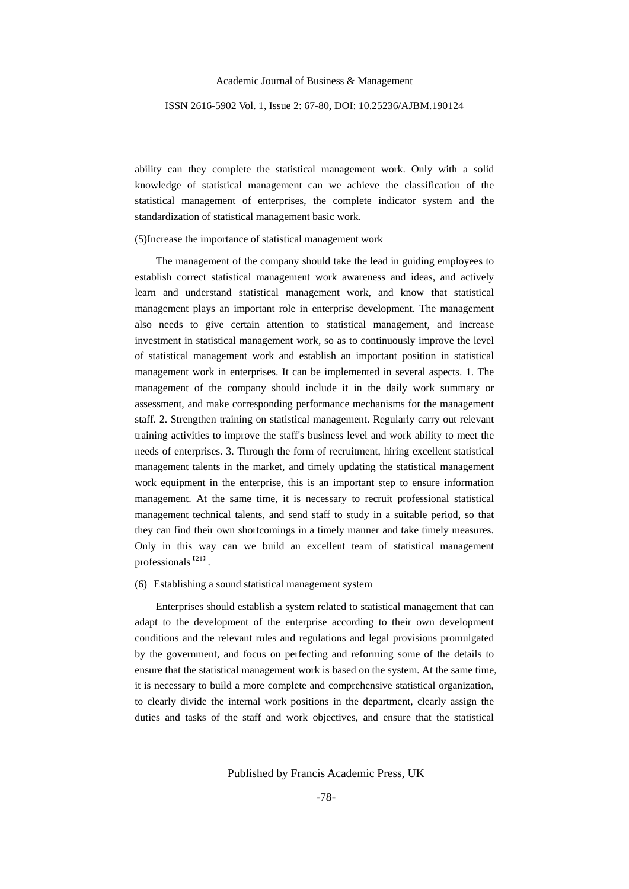ability can they complete the statistical management work. Only with a solid knowledge of statistical management can we achieve the classification of the statistical management of enterprises, the complete indicator system and the standardization of statistical management basic work.

(5)Increase the importance of statistical management work

 The management of the company should take the lead in guiding employees to establish correct statistical management work awareness and ideas, and actively learn and understand statistical management work, and know that statistical management plays an important role in enterprise development. The management also needs to give certain attention to statistical management, and increase investment in statistical management work, so as to continuously improve the level of statistical management work and establish an important position in statistical management work in enterprises. It can be implemented in several aspects. 1. The management of the company should include it in the daily work summary or assessment, and make corresponding performance mechanisms for the management staff. 2. Strengthen training on statistical management. Regularly carry out relevant training activities to improve the staff's business level and work ability to meet the needs of enterprises. 3. Through the form of recruitment, hiring excellent statistical management talents in the market, and timely updating the statistical management work equipment in the enterprise, this is an important step to ensure information management. At the same time, it is necessary to recruit professional statistical management technical talents, and send staff to study in a suitable period, so that they can find their own shortcomings in a timely manner and take timely measures. Only in this way can we build an excellent team of statistical management professionals<sup>[21]</sup>.

## (6) Establishing a sound statistical management system

Enterprises should establish a system related to statistical management that can adapt to the development of the enterprise according to their own development conditions and the relevant rules and regulations and legal provisions promulgated by the government, and focus on perfecting and reforming some of the details to ensure that the statistical management work is based on the system. At the same time, it is necessary to build a more complete and comprehensive statistical organization, to clearly divide the internal work positions in the department, clearly assign the duties and tasks of the staff and work objectives, and ensure that the statistical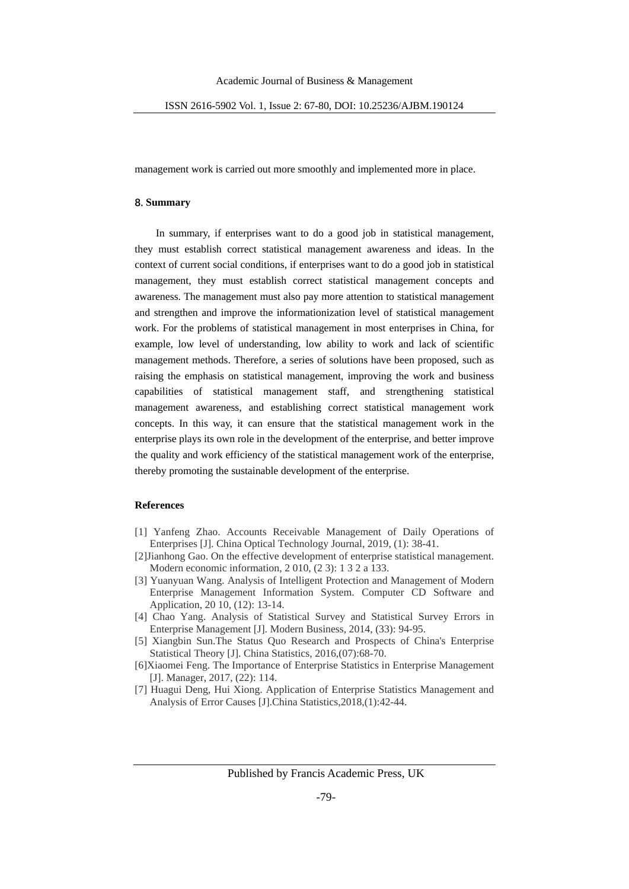management work is carried out more smoothly and implemented more in place.

#### **8. Summary**

In summary, if enterprises want to do a good job in statistical management, they must establish correct statistical management awareness and ideas. In the context of current social conditions, if enterprises want to do a good job in statistical management, they must establish correct statistical management concepts and awareness. The management must also pay more attention to statistical management and strengthen and improve the informationization level of statistical management work. For the problems of statistical management in most enterprises in China, for example, low level of understanding, low ability to work and lack of scientific management methods. Therefore, a series of solutions have been proposed, such as raising the emphasis on statistical management, improving the work and business capabilities of statistical management staff, and strengthening statistical management awareness, and establishing correct statistical management work concepts. In this way, it can ensure that the statistical management work in the enterprise plays its own role in the development of the enterprise, and better improve the quality and work efficiency of the statistical management work of the enterprise, thereby promoting the sustainable development of the enterprise.

#### **References**

- [1] Yanfeng Zhao. Accounts Receivable Management of Daily Operations of Enterprises [J]. China Optical Technology Journal, 2019, (1): 38-41.
- [2]Jianhong Gao. On the effective development of enterprise statistical management. Modern economic information, 2 010, (2 3): 1 3 2 a 133.
- [3] Yuanyuan Wang. Analysis of Intelligent Protection and Management of Modern Enterprise Management Information System. Computer CD Software and Application, 20 10, (12): 13-14.
- [4] Chao Yang. Analysis of Statistical Survey and Statistical Survey Errors in Enterprise Management [J]. Modern Business, 2014, (33): 94-95.
- [5] Xiangbin Sun.The Status Quo Research and Prospects of China's Enterprise Statistical Theory [J]. China Statistics, 2016,(07):68-70.
- [6]Xiaomei Feng. The Importance of Enterprise Statistics in Enterprise Management [J]. Manager, 2017, (22): 114.
- [7] Huagui Deng, Hui Xiong. Application of Enterprise Statistics Management and Analysis of Error Causes [J].China Statistics,2018,(1):42-44.